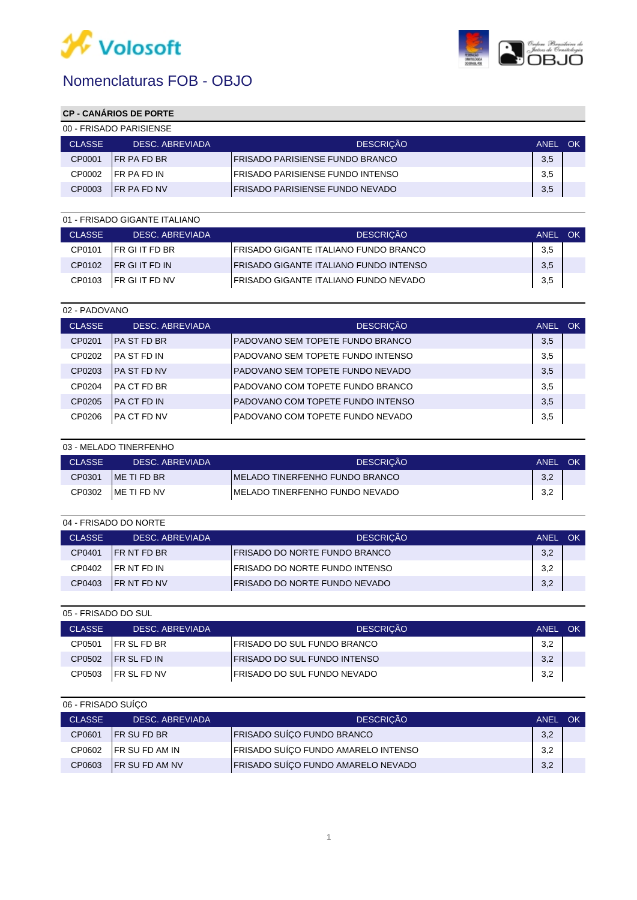



## **CP - CANÁRIOS DE PORTE**

| 00 - FRISADO PARISIENSE |                     |                                         |             |           |
|-------------------------|---------------------|-----------------------------------------|-------------|-----------|
| <b>CLASSE</b>           | DESC. ABREVIADA     | <b>DESCRICÃO</b>                        | <b>ANEL</b> | <b>OK</b> |
| CP0001                  | <b>IFR PA FD BR</b> | <b>IFRISADO PARISIENSE FUNDO BRANCO</b> | 3,5         |           |
| CP0002                  | IFR PA FD IN        | IFRISADO PARISIENSE FUNDO INTENSO       | 3,5         |           |
| CP0003                  | <b>IFR PA FD NV</b> | <b>IFRISADO PARISIENSE FUNDO NEVADO</b> | 3,5         |           |

| 01 - FRISADO GIGANTE ITALIANO |                        |                                                |      |    |
|-------------------------------|------------------------|------------------------------------------------|------|----|
| <b>CLASSE</b>                 | DESC. ABREVIADA        | <b>DESCRICÃO</b>                               | ANEL | OK |
| CP0101                        | <b>IFR GI IT FD BR</b> | IFRISADO GIGANTE ITALIANO FUNDO BRANCO         | 3,5  |    |
| CP0102                        | <b>IFR GIT FD IN</b>   | <b>IFRISADO GIGANTE ITALIANO FUNDO INTENSO</b> | 3,5  |    |
| CP0103                        | <b>IFR GI IT FD NV</b> | <b>IFRISADO GIGANTE ITALIANO FUNDO NEVADO</b>  | 3,5  |    |

| 02 - PADOVANO |                     |                                    |             |     |
|---------------|---------------------|------------------------------------|-------------|-----|
| <b>CLASSE</b> | DESC. ABREVIADA     | <b>DESCRIÇÃO</b>                   | <b>ANEL</b> | OK. |
| CP0201        | IPA ST FD BR        | PADOVANO SEM TOPETE FUNDO BRANCO   | 3,5         |     |
| CP0202        | IPA ST FD IN        | PADOVANO SEM TOPETE FUNDO INTENSO  | 3,5         |     |
| CP0203        | <b>IPA ST FD NV</b> | IPADOVANO SEM TOPETE FUNDO NEVADO  | 3,5         |     |
| CP0204        | IPA CT FD BR        | IPADOVANO COM TOPETE FUNDO BRANCO  | 3,5         |     |
| CP0205        | <b>IPA CT FD IN</b> | IPADOVANO COM TOPETE FUNDO INTENSO | 3,5         |     |
| CP0206        | IPA CT FD NV        | IPADOVANO COM TOPETE FUNDO NEVADO  | 3,5         |     |

|               | 03 - MELADO TINERFENHO |                                 |             |    |
|---------------|------------------------|---------------------------------|-------------|----|
| <b>CLASSE</b> | DESC. ABREVIADA        | <b>DESCRICÃO</b>                | <b>ANEL</b> | OK |
| CP0301        | IME TI FD BR           | IMELADO TINERFENHO FUNDO BRANCO | 3,2         |    |
| CP0302        | IME TI FD NV           | IMELADO TINERFENHO FUNDO NEVADO | 3,2         |    |

| 04 - FRISADO DO NORTE |  |                     |                                        |             |    |
|-----------------------|--|---------------------|----------------------------------------|-------------|----|
| <b>CLASSE</b>         |  | DESC. ABREVIADA     | <b>DESCRICÃO</b>                       | <b>ANEL</b> | OK |
| CP0401                |  | <b>IFR NT FD BR</b> | <b>IFRISADO DO NORTE FUNDO BRANCO</b>  | 3,2         |    |
| CP0402                |  | <b>IFR NT FD IN</b> | <b>IFRISADO DO NORTE FUNDO INTENSO</b> | 3,2         |    |
| CP0403                |  | <b>IFR NT FD NV</b> | <b>IFRISADO DO NORTE FUNDO NEVADO</b>  | 3,2         |    |

| 05 - FRISADO DO SUL |                     |                                      |      |           |
|---------------------|---------------------|--------------------------------------|------|-----------|
| <b>CLASSE</b>       | DESC. ABREVIADA     | <b>DESCRICÃO</b>                     | ANEL | <b>OK</b> |
| CP0501              | <b>IFR SL FD BR</b> | I FRISADO DO SUL FUNDO BRANCO        | 3,2  |           |
| CP0502              | <b>IFR SL FD IN</b> | <b>IFRISADO DO SUL FUNDO INTENSO</b> | 3,2  |           |
| CP0503              | <b>IFR SL FD NV</b> | IFRISADO DO SUL FUNDO NEVADO         | 3,2  |           |

| 06 - FRISADO SUÍCO |                        |                                     |             |           |
|--------------------|------------------------|-------------------------------------|-------------|-----------|
| <b>CLASSE</b>      | DESC. ABREVIADA        | <b>DESCRICÃO</b>                    | <b>ANEL</b> | <b>OK</b> |
| CP0601             | <b>IFR SUFD BR</b>     | FRISADO SUÍÇO FUNDO BRANCO          | 3,2         |           |
| CP0602             | <b>IFR SU FD AM IN</b> | FRISADO SUÍÇO FUNDO AMARELO INTENSO | 3,2         |           |
| CP0603             | <b>IFR SU FD AM NV</b> | FRISADO SUÍÇO FUNDO AMARELO NEVADO  | 3,2         |           |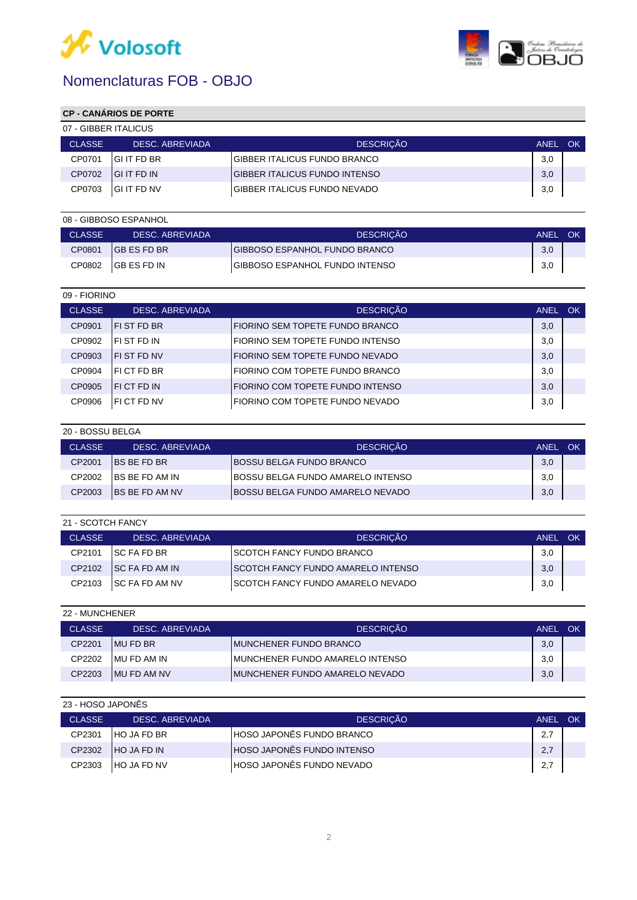



## **CP - CANÁRIOS DE PORTE**

| 07 - GIBBER ITALICUS |                     |                                       |             |    |  |
|----------------------|---------------------|---------------------------------------|-------------|----|--|
| <b>CLASSE</b>        | DESC. ABREVIADA     | <b>DESCRICÃO</b>                      | <b>ANEL</b> | OK |  |
| CP0701               | IGI IT FD BR        | IGIBBER ITALICUS FUNDO BRANCO         | 3,0         |    |  |
| CP0702               | <b>IGI IT FD IN</b> | <b>IGIBBER ITALICUS FUNDO INTENSO</b> | 3,0         |    |  |
| CP0703               | <b>IGI IT FD NV</b> | <b>IGIBBER ITALICUS FUNDO NEVADO</b>  | 3,0         |    |  |

|               | 08 - GIBBOSO ESPANHOL |                                       |             |    |
|---------------|-----------------------|---------------------------------------|-------------|----|
| <b>CLASSE</b> | DESC. ABREVIADA       | <b>DESCRICÃO</b>                      | <b>ANEL</b> | OK |
| CP0801        | <b>IGB ES FD BR</b>   | IGIBBOSO ESPANHOL FUNDO BRANCO        | 3,0         |    |
| CP0802        | IGB ES FD IN          | <b>GIBBOSO ESPANHOL FUNDO INTENSO</b> | 3,0         |    |

| 09 - FIORINO  |                    |                                    |             |     |
|---------------|--------------------|------------------------------------|-------------|-----|
| <b>CLASSE</b> | DESC. ABREVIADA    | <b>DESCRIÇÃO</b>                   | <b>ANEL</b> | OK. |
| CP0901        | <b>IFIST FD BR</b> | I FIORINO SEM TOPETE FUNDO BRANCO  | 3,0         |     |
| CP0902        | IFI ST FD IN       | FIORINO SEM TOPETE FUNDO INTENSO   | 3,0         |     |
| CP0903        | <b>IFIST FD NV</b> | FIORINO SEM TOPETE FUNDO NEVADO    | 3,0         |     |
| CP0904        | IFICT FD BR        | FIORINO COM TOPETE FUNDO BRANCO    | 3,0         |     |
| CP0905        | IFI CT FD IN       | I FIORINO COM TOPETE FUNDO INTENSO | 3,0         |     |
| CP0906        | <b>IFICT FD NV</b> | FIORINO COM TOPETE FUNDO NEVADO    | 3,0         |     |

| 20 - BOSSU BELGA |                        |                                          |             |    |
|------------------|------------------------|------------------------------------------|-------------|----|
| <b>CLASSE</b>    | DESC. ABREVIADA        | <b>DESCRICÃO</b>                         | <b>ANEL</b> | OK |
| CP2001           | <b>IBS BE FD BR</b>    | <b>IBOSSU BELGA FUNDO BRANCO</b>         | 3,0         |    |
| CP2002           | IBS BE FD AM IN        | IBOSSU BELGA FUNDO AMARELO INTENSO       | 3,0         |    |
| CP2003           | <b>IBS BE FD AM NV</b> | <b>IBOSSU BELGA FUNDO AMARELO NEVADO</b> | 3,0         |    |

| 21 - SCOTCH FANCY |                        |                                            |      |    |
|-------------------|------------------------|--------------------------------------------|------|----|
| <b>CLASSE</b>     | DESC. ABREVIADA        | <b>DESCRICÃO</b>                           | ANEL | OK |
| CP2101            | <b>ISC FA FD BR</b>    | <b>ISCOTCH FANCY FUNDO BRANCO</b>          | 3,0  |    |
| CP2102            | <b>ISC FA FD AM IN</b> | <b>ISCOTCH FANCY FUNDO AMARELO INTENSO</b> | 3,0  |    |
| CP2103            | <b>ISC FA FD AM NV</b> | <b>ISCOTCH FANCY FUNDO AMARELO NEVADO</b>  | 3,0  |    |

| 22 - MUNCHENER |                 |                                  |             |    |  |  |  |
|----------------|-----------------|----------------------------------|-------------|----|--|--|--|
| <b>CLASSE</b>  | DESC. ABREVIADA | <b>DESCRICÃO</b>                 | <b>ANEL</b> | OK |  |  |  |
| CP2201         | IMU FD BR       | IMUNCHENER FUNDO BRANCO          | 3,0         |    |  |  |  |
| CP2202         | IMU FD AM IN    | IMUNCHENER FUNDO AMARELO INTENSO | 3,0         |    |  |  |  |
| CP2203         | IMU FD AM NV    | IMUNCHENER FUNDO AMARELO NEVADO  | 3,0         |    |  |  |  |

#### 23 - HOSO JAPONÊS

| <b>CLASSE</b> | DESC. ABREVIADA     | <b>DESCRICÃO</b>                  | <b>ANEL</b> | <b>OK</b> |
|---------------|---------------------|-----------------------------------|-------------|-----------|
| CP2301        | <b>IHO JA FD BR</b> | HOSO JAPONÊS FUNDO BRANCO         | 2,7         |           |
| CP2302        | <b>HO JA FD IN</b>  | <b>HOSO JAPONÊS FUNDO INTENSO</b> | 2,7         |           |
| CP2303        | <b>HO JA FD NV</b>  | HOSO JAPONÊS FUNDO NEVADO         | 2,7         |           |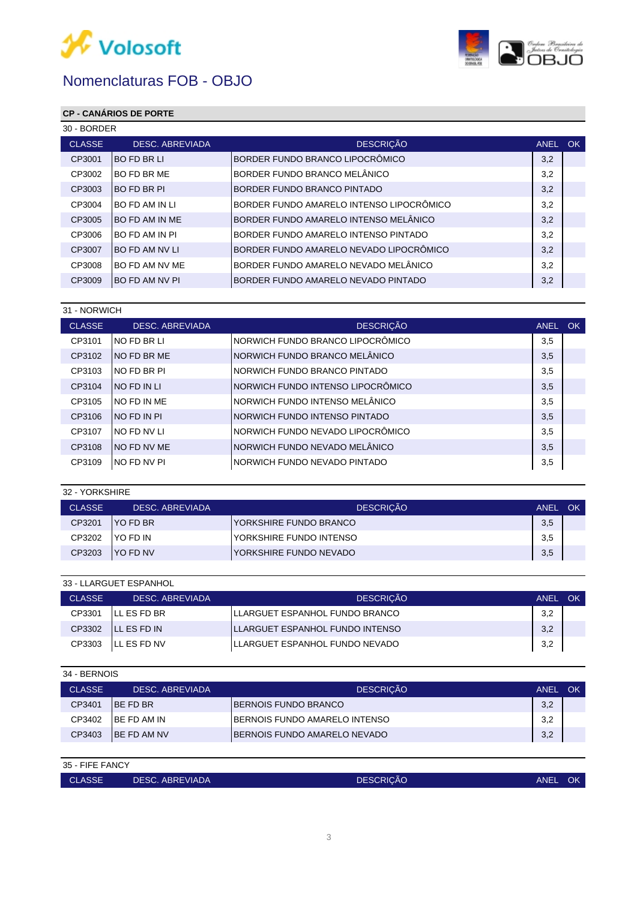



## **CP - CANÁRIOS DE PORTE**

| 30 - BORDER            |                                          |                                      |     |  |  |
|------------------------|------------------------------------------|--------------------------------------|-----|--|--|
| <b>DESC. ABREVIADA</b> | <b>DESCRIÇÃO</b>                         | ANEL                                 | OK. |  |  |
| <b>IBO FD BR LI</b>    | BORDER FUNDO BRANCO LIPOCRÔMICO          | 3,2                                  |     |  |  |
| IBO FD BR ME           | BORDER FUNDO BRANCO MELÂNICO             | 3,2                                  |     |  |  |
| IBO FD BR PI           | BORDER FUNDO BRANCO PINTADO              | 3,2                                  |     |  |  |
| IBO FD AM IN LI        | BORDER FUNDO AMARELO INTENSO LIPOCRÔMICO | 3,2                                  |     |  |  |
| <b>IBO FD AM IN ME</b> | IBORDER FUNDO AMARELO INTENSO MELÂNICO   | 3,2                                  |     |  |  |
| IBO FD AM IN PI        | BORDER FUNDO AMARELO INTENSO PINTADO     | 3,2                                  |     |  |  |
| IBO FD AM NV LI        | IBORDER FUNDO AMARELO NEVADO LIPOCRÔMICO | 3,2                                  |     |  |  |
| IBO FD AM NV ME        | BORDER FUNDO AMARELO NEVADO MELÂNICO     | 3,2                                  |     |  |  |
| IBO FD AM NV PI        |                                          | 3,2                                  |     |  |  |
|                        |                                          | IBORDER FUNDO AMARELO NEVADO PINTADO |     |  |  |

|               | 31 - NORWICH           |                                   |      |           |  |  |
|---------------|------------------------|-----------------------------------|------|-----------|--|--|
| <b>CLASSE</b> | <b>DESC. ABREVIADA</b> | <b>DESCRIÇÃO</b>                  | ANEL | <b>OK</b> |  |  |
| CP3101        | INO FD BR LI           | NORWICH FUNDO BRANCO LIPOCRÔMICO  | 3,5  |           |  |  |
| CP3102        | INO FD BR ME           | NORWICH FUNDO BRANCO MELÂNICO     | 3,5  |           |  |  |
| CP3103        | INO FD BR PI           | INORWICH FUNDO BRANCO PINTADO     | 3,5  |           |  |  |
| CP3104        | INO FD IN LI           | NORWICH FUNDO INTENSO LIPOCRÔMICO | 3,5  |           |  |  |
| CP3105        | INO FD IN ME           | NORWICH FUNDO INTENSO MELÂNICO    | 3,5  |           |  |  |
| CP3106        | INO FD IN PI           | INORWICH FUNDO INTENSO PINTADO    | 3,5  |           |  |  |
| CP3107        | INO FD NV LI           | NORWICH FUNDO NEVADO LIPOCRÔMICO  | 3,5  |           |  |  |
| CP3108        | INO FD NV ME           | NORWICH FUNDO NEVADO MELÂNICO     | 3,5  |           |  |  |
| CP3109        | INO FD NV PI           | INORWICH FUNDO NEVADO PINTADO     | 3,5  |           |  |  |

#### 32 - YORKSHIRE

| <b>CLASSE</b> | DESC. ABREVIADA  | <b>DESCRICÃO</b>                | <b>ANEL</b> | OK |
|---------------|------------------|---------------------------------|-------------|----|
| CP3201        | <b>IYO FD BR</b> | IYORKSHIRE FUNDO BRANCO         | 3,5         |    |
| CP3202        | IYO FD IN        | <b>IYORKSHIRE FUNDO INTENSO</b> | 3,5         |    |
| CP3203        | <b>IYO FD NV</b> | IYORKSHIRE FUNDO NEVADO         | 3,5         |    |

| 33 - LLARGUET ESPANHOL |                     |                                  |      |    |  |
|------------------------|---------------------|----------------------------------|------|----|--|
| <b>CLASSE</b>          | DESC. ABREVIADA     | <b>DESCRICÃO</b>                 | ANEL | OK |  |
| CP3301                 | ILL ES FD BR        | ILLARGUET ESPANHOL FUNDO BRANCO  | 3,2  |    |  |
| CP3302                 | ILL ES FD IN        | ILLARGUET ESPANHOL FUNDO INTENSO | 3,2  |    |  |
| CP3303                 | <b>ILL ES FD NV</b> | ILLARGUET ESPANHOL FUNDO NEVADO  | 3,2  |    |  |

| 34 - BERNOIS  |                     |                                       |             |    |  |
|---------------|---------------------|---------------------------------------|-------------|----|--|
| <b>CLASSE</b> | DESC. ABREVIADA     | <b>DESCRICÃO</b>                      | <b>ANEL</b> | OK |  |
| CP3401        | <b>IBE FD BR</b>    | <b>IBERNOIS FUNDO BRANCO</b>          | 3,2         |    |  |
| CP3402        | <b>IBE FD AM IN</b> | <b>IBERNOIS FUNDO AMARELO INTENSO</b> | 3,2         |    |  |
| CP3403        | <b>IBE FD AM NV</b> | <b>IBERNOIS FUNDO AMARELO NEVADO</b>  | 3,2         |    |  |

| 35 - FIFE FANCY |                     |                                 |      |  |  |  |
|-----------------|---------------------|---------------------------------|------|--|--|--|
| <b>CLASSE</b>   | I DESC. ABREVIADA ' | <b>DESCRIÇÃO</b><br><b>ANEL</b> | - OK |  |  |  |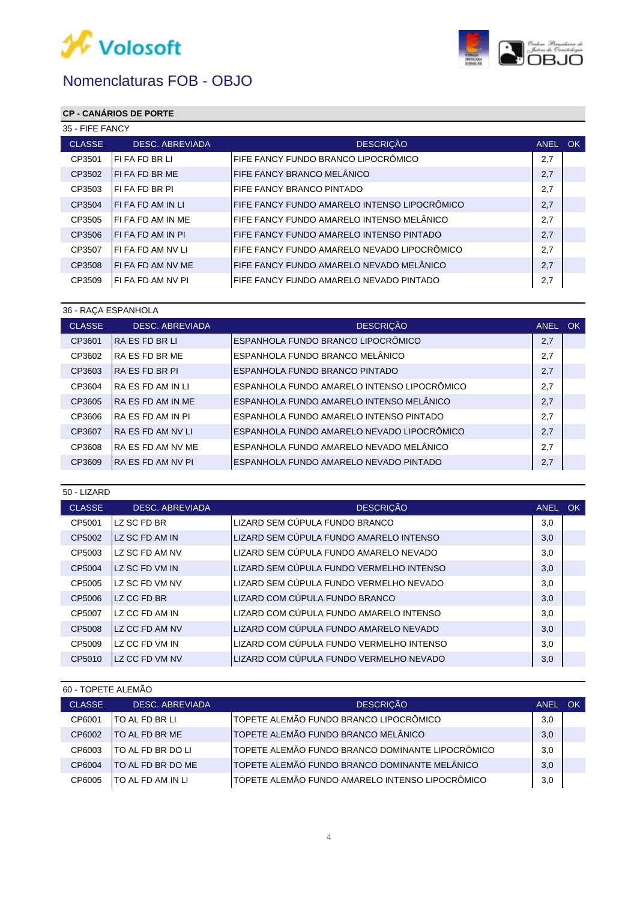



## **CP - CANÁRIOS DE PORTE**

|               | 35 - FIFE FANCY        |                                              |      |           |  |
|---------------|------------------------|----------------------------------------------|------|-----------|--|
| <b>CLASSE</b> | <b>DESC. ABREVIADA</b> | <b>DESCRIÇÃO</b>                             | ANEL | <b>OK</b> |  |
| CP3501        | IFI FA FD BR LI        | FIFE FANCY FUNDO BRANCO LIPOCRÔMICO          | 2,7  |           |  |
| CP3502        | <b>IFIFA FD BR ME</b>  | FIFE FANCY BRANCO MELÂNICO                   | 2,7  |           |  |
| CP3503        | IFI FA FD BR PI        | FIFE FANCY BRANCO PINTADO                    | 2,7  |           |  |
| CP3504        | IFI FA FD AM IN LI     | FIFE FANCY FUNDO AMARELO INTENSO LIPOCRÔMICO | 2,7  |           |  |
| CP3505        | IFI FA FD AM IN ME     | FIFE FANCY FUNDO AMARELO INTENSO MELÂNICO    | 2,7  |           |  |
| CP3506        | IFI FA FD AM IN PI     | IFIFE FANCY FUNDO AMARELO INTENSO PINTADO    | 2,7  |           |  |
| CP3507        | IFI FA FD AM NV LI     | IFIFE FANCY FUNDO AMARELO NEVADO LIPOCRÔMICO | 2,7  |           |  |
| CP3508        | IFI FA FD AM NV ME     | IFIFE FANCY FUNDO AMARELO NEVADO MELÂNICO    | 2,7  |           |  |
| CP3509        | IFI FA FD AM NV PI     | FIFE FANCY FUNDO AMARELO NEVADO PINTADO      | 2,7  |           |  |

|               | 36 - RACA ESPANHOLA    |                                             |      |           |  |  |
|---------------|------------------------|---------------------------------------------|------|-----------|--|--|
| <b>CLASSE</b> | <b>DESC. ABREVIADA</b> | <b>DESCRIÇÃO</b>                            | ANEL | <b>OK</b> |  |  |
| CP3601        | IRA ES FD BR LI        | ESPANHOLA FUNDO BRANCO LIPOCRÔMICO          | 2,7  |           |  |  |
| CP3602        | IRA ES FD BR ME        | ESPANHOLA FUNDO BRANCO MELÂNICO             | 2,7  |           |  |  |
| CP3603        | IRA ES FD BR PI        | ESPANHOLA FUNDO BRANCO PINTADO              | 2,7  |           |  |  |
| CP3604        | IRA ES FD AM IN LI     | ESPANHOLA FUNDO AMARELO INTENSO LIPOCRÔMICO | 2,7  |           |  |  |
| CP3605        | IRA ES FD AM IN ME     | ESPANHOLA FUNDO AMARELO INTENSO MELÂNICO    | 2,7  |           |  |  |
| CP3606        | IRA ES FD AM IN PI     | ESPANHOLA FUNDO AMARELO INTENSO PINTADO     | 2,7  |           |  |  |
| CP3607        | IRA ES FD AM NV LI     | ESPANHOLA FUNDO AMARELO NEVADO LIPOCRÔMICO  | 2,7  |           |  |  |
| CP3608        | IRA ES FD AM NV ME     | ESPANHOLA FUNDO AMARELO NEVADO MELÂNICO     | 2,7  |           |  |  |
| CP3609        | IRA ES FD AM NV PI     | ESPANHOLA FUNDO AMARELO NEVADO PINTADO      | 2,7  |           |  |  |
|               |                        |                                             |      |           |  |  |

50 - LIZARD

| <b>CLASSE</b> | <b>DESC. ABREVIADA</b> | <b>DESCRIÇÃO</b>                         | ANEL OK |  |
|---------------|------------------------|------------------------------------------|---------|--|
| CP5001        | LZ SC FD BR            | LIZARD SEM CÚPULA FUNDO BRANCO           | 3,0     |  |
| CP5002        | LZ SC FD AM IN         | LIZARD SEM CÚPULA FUNDO AMARELO INTENSO  | 3,0     |  |
| CP5003        | LZ SC FD AM NV         | LIZARD SEM CÚPULA FUNDO AMARELO NEVADO   | 3,0     |  |
| CP5004        | LZ SC FD VM IN         | LIZARD SEM CÚPULA FUNDO VERMELHO INTENSO | 3,0     |  |
| CP5005        | LZ SC FD VM NV         | LIZARD SEM CÚPULA FUNDO VERMELHO NEVADO  | 3,0     |  |
| CP5006        | LZ CC FD BR            | LIZARD COM CÚPULA FUNDO BRANCO           | 3,0     |  |
| CP5007        | LZ CC FD AM IN         | LIZARD COM CÚPULA FUNDO AMARELO INTENSO  | 3,0     |  |
| CP5008        | LZ CC FD AM NV         | LIZARD COM CÚPULA FUNDO AMARELO NEVADO   | 3,0     |  |
| CP5009        | LZ CC FD VM IN         | LIZARD COM CÚPULA FUNDO VERMELHO INTENSO | 3,0     |  |
| CP5010        | LZ CC FD VM NV         | LIZARD COM CÚPULA FUNDO VERMELHO NEVADO  | 3,0     |  |

| 60 - TOPETE ALEMÃO |               |                        |                                                  |             |     |
|--------------------|---------------|------------------------|--------------------------------------------------|-------------|-----|
|                    | <b>CLASSE</b> | <b>DESC. ABREVIADA</b> | <b>DESCRIÇÃO</b>                                 | <b>ANEL</b> | OK. |
|                    | CP6001        | ITO AL FD BR LI        | TOPETE ALEMÃO FUNDO BRANCO LIPOCRÔMICO           | 3,0         |     |
|                    | CP6002        | ITO AL FD BR ME        | TOPETE ALEMÃO FUNDO BRANCO MELÂNICO              | 3,0         |     |
|                    | CP6003        | ITO AL FD BR DO LI     | TOPETE ALEMÃO FUNDO BRANCO DOMINANTE LIPOCRÔMICO | 3,0         |     |
|                    | CP6004        | ITO AL FD BR DO ME     | TOPETE ALEMÃO FUNDO BRANCO DOMINANTE MELÂNICO    | 3,0         |     |
|                    | CP6005        | ITO AL FD AM IN LI     | TOPETE ALEMÃO FUNDO AMARELO INTENSO LIPOCRÔMICO  | 3,0         |     |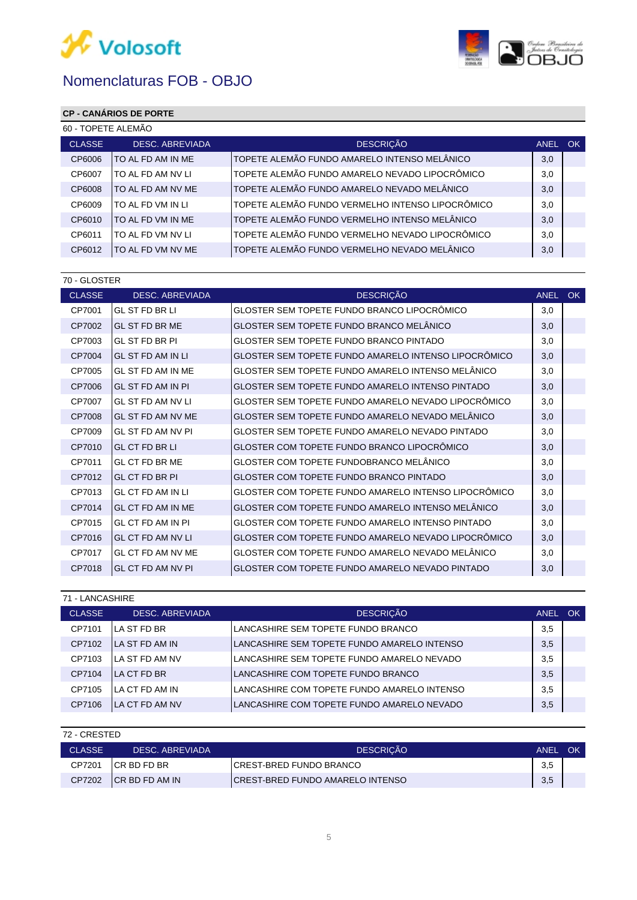



## **CP - CANÁRIOS DE PORTE**

| 60 - TOPETE ALEMÃO |                        |                                                  |         |  |  |
|--------------------|------------------------|--------------------------------------------------|---------|--|--|
| <b>CLASSE</b>      | <b>DESC. ABREVIADA</b> | <b>DESCRIÇÃO</b>                                 | ANEL OK |  |  |
| CP6006             | ITO AL FD AM IN ME     | TOPETE ALEMÃO FUNDO AMARELO INTENSO MELÂNICO     | 3,0     |  |  |
| CP6007             | lto al fd am ny li     | TOPETE ALEMÃO FUNDO AMARELO NEVADO LIPOCRÔMICO   | 3,0     |  |  |
| CP6008             | ITO AL FD AM NV ME     | TOPETE ALEMÃO FUNDO AMARELO NEVADO MELÂNICO      | 3,0     |  |  |
| CP6009             | ITO AL FD VM IN LI     | TOPETE ALEMÃO FUNDO VERMELHO INTENSO LIPOCRÔMICO | 3,0     |  |  |
| CP6010             | ITO AL FD VM IN ME     | TOPETE ALEMÃO FUNDO VERMELHO INTENSO MELÂNICO    | 3,0     |  |  |
| CP6011             | ITO AL FD VM NV LI     | TOPETE ALEMÃO FUNDO VERMELHO NEVADO LIPOCRÔMICO  | 3,0     |  |  |
| CP6012             | ITO AL FD VM NV ME     | TOPETE ALEMÃO FUNDO VERMELHO NEVADO MELÂNICO     | 3,0     |  |  |

| 70 - GLOSTER             |                                                         |             |     |  |  |  |
|--------------------------|---------------------------------------------------------|-------------|-----|--|--|--|
| <b>DESC. ABREVIADA</b>   | <b>DESCRIÇÃO</b>                                        | <b>ANEL</b> | OK. |  |  |  |
| <b>GL ST FD BR LI</b>    | GLOSTER SEM TOPETE FUNDO BRANCO LIPOCRÔMICO             | 3,0         |     |  |  |  |
| <b>GL ST FD BR ME</b>    | GLOSTER SEM TOPETE FUNDO BRANCO MELÂNICO                | 3.0         |     |  |  |  |
| <b>GL ST FD BR PI</b>    | GLOSTER SEM TOPETE FUNDO BRANCO PINTADO                 | 3,0         |     |  |  |  |
| <b>GL ST FD AM IN LI</b> | GLOSTER SEM TOPETE FUNDO AMARELO INTENSO LIPOCRÔMICO    | 3.0         |     |  |  |  |
| GL ST FD AM IN ME        | GLOSTER SEM TOPETE FUNDO AMARELO INTENSO MELÂNICO       | 3,0         |     |  |  |  |
| GL ST FD AM IN PI        | <b>GLOSTER SEM TOPETE FUNDO AMARELO INTENSO PINTADO</b> | 3,0         |     |  |  |  |
| <b>GL ST FD AM NV LI</b> | GLOSTER SEM TOPETE FUNDO AMARELO NEVADO LIPOCRÔMICO     | 3,0         |     |  |  |  |
| GL ST FD AM NV ME        | GLOSTER SEM TOPETE FUNDO AMARELO NEVADO MELÂNICO        | 3.0         |     |  |  |  |
| GL ST FD AM NV PI        | <b>GLOSTER SEM TOPETE FUNDO AMARELO NEVADO PINTADO</b>  | 3,0         |     |  |  |  |
| <b>GL CT FD BR LI</b>    | GLOSTER COM TOPETE FUNDO BRANCO LIPOCRÔMICO             | 3,0         |     |  |  |  |
| <b>GL CT FD BR ME</b>    | GLOSTER COM TOPETE FUNDOBRANCO MELÂNICO                 | 3.0         |     |  |  |  |
| <b>GL CT FD BR PI</b>    | GLOSTER COM TOPETE FUNDO BRANCO PINTADO                 | 3,0         |     |  |  |  |
| GL CT FD AM IN LI        | GLOSTER COM TOPETE FUNDO AMARELO INTENSO LIPOCRÔMICO    | 3,0         |     |  |  |  |
| GL CT FD AM IN ME        | GLOSTER COM TOPETE FUNDO AMARELO INTENSO MELÂNICO       | 3,0         |     |  |  |  |
| GL CT FD AM IN PI        | GLOSTER COM TOPETE FUNDO AMARELO INTENSO PINTADO        | 3,0         |     |  |  |  |
| <b>GL CT FD AM NV LI</b> | GLOSTER COM TOPETE FUNDO AMARELO NEVADO LIPOCRÔMICO     | 3,0         |     |  |  |  |
| GL CT FD AM NV ME        | GLOSTER COM TOPETE FUNDO AMARELO NEVADO MELÂNICO        | 3,0         |     |  |  |  |
| GL CT FD AM NV PI        | GLOSTER COM TOPETE FUNDO AMARELO NEVADO PINTADO         | 3,0         |     |  |  |  |
|                          |                                                         |             |     |  |  |  |

| 71 - LANCASHIRE |                        |                                              |             |     |  |  |
|-----------------|------------------------|----------------------------------------------|-------------|-----|--|--|
| <b>CLASSE</b>   | DESC. ABREVIADA        | <b>DESCRICÃO</b>                             | <b>ANEL</b> | OK. |  |  |
| CP7101          | <b>LA ST FD BR</b>     | LLANCASHIRE SEM TOPETE FUNDO BRANCO          | 3,5         |     |  |  |
| CP7102          | <b>ILA ST FD AM IN</b> | LLANCASHIRE SEM TOPETE FUNDO AMARELO INTENSO | 3,5         |     |  |  |
| CP7103          | <b>ILA ST FD AM NV</b> | ILANCASHIRE SEM TOPETE FUNDO AMARELO NEVADO  | 3,5         |     |  |  |
| CP7104          | <b>LA CT FD BR</b>     | ILANCASHIRE COM TOPETE FUNDO BRANCO          | 3,5         |     |  |  |
| CP7105          | <b>ILA CT FD AM IN</b> | ILANCASHIRE COM TOPETE FUNDO AMARELO INTENSO | 3,5         |     |  |  |
| CP7106          | <b>ILA CT FD AM NV</b> | ILANCASHIRE COM TOPETE FUNDO AMARELO NEVADO  | 3,5         |     |  |  |

| 72 - CRESTED  |                 |                                         |             |           |  |  |
|---------------|-----------------|-----------------------------------------|-------------|-----------|--|--|
| <b>CLASSE</b> | DESC. ABREVIADA | <b>DESCRICÃO</b>                        | <b>ANEL</b> | <b>OK</b> |  |  |
| CP7201        | ICR BD FD BR    | ICREST-BRED FUNDO BRANCO                | 3,5         |           |  |  |
| CP7202        | ICR BD FD AM IN | <b>CREST-BRED FUNDO AMARELO INTENSO</b> | 3,5         |           |  |  |